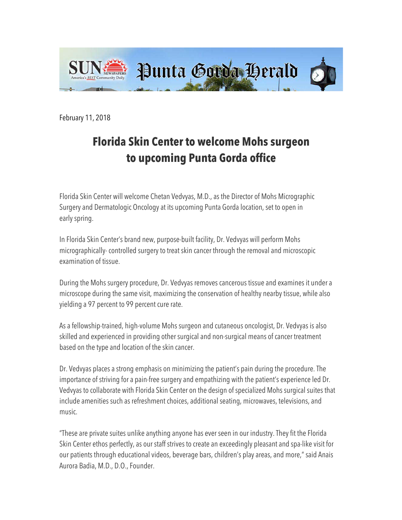

February 11, 2018

## **Florida Skin Center to welcome Mohs surgeon to upcoming Punta Gorda office**

Florida Skin Center will welcome Chetan Vedvyas, M.D., as the Director of Mohs Micrographic Surgery and Dermatologic Oncology at its upcoming Punta Gorda location, set to open in early spring.

In Florida Skin Center's brand new, purpose-built facility, Dr. Vedvyas will perform Mohs micrographically- controlled surgery to treat skin cancer through the removal and microscopic examination of tissue.

During the Mohs surgery procedure, Dr. Vedvyas removes cancerous tissue and examines it under a microscope during the same visit, maximizing the conservation of healthy nearby tissue, while also yielding a 97 percent to 99 percent cure rate.

As a fellowship-trained, high-volume Mohs surgeon and cutaneous oncologist, Dr. Vedvyas is also skilled and experienced in providing other surgical and non-surgical means of cancer treatment based on the type and location of the skin cancer.

Dr. Vedvyas places a strong emphasis on minimizing the patient's pain during the procedure. The importance of striving for a pain-free surgery and empathizing with the patient's experience led Dr. Vedvyas to collaborate with Florida Skin Center on the design of specialized Mohs surgical suites that include amenities such as refreshment choices, additional seating, microwaves, televisions, and music.

"These are private suites unlike anything anyone has ever seen in our industry. They fit the Florida Skin Center ethos perfectly, as our staff strives to create an exceedingly pleasant and spa-like visit for our patients through educational videos, beverage bars, children's play areas, and more," said Anais Aurora Badia, M.D., D.O., Founder.